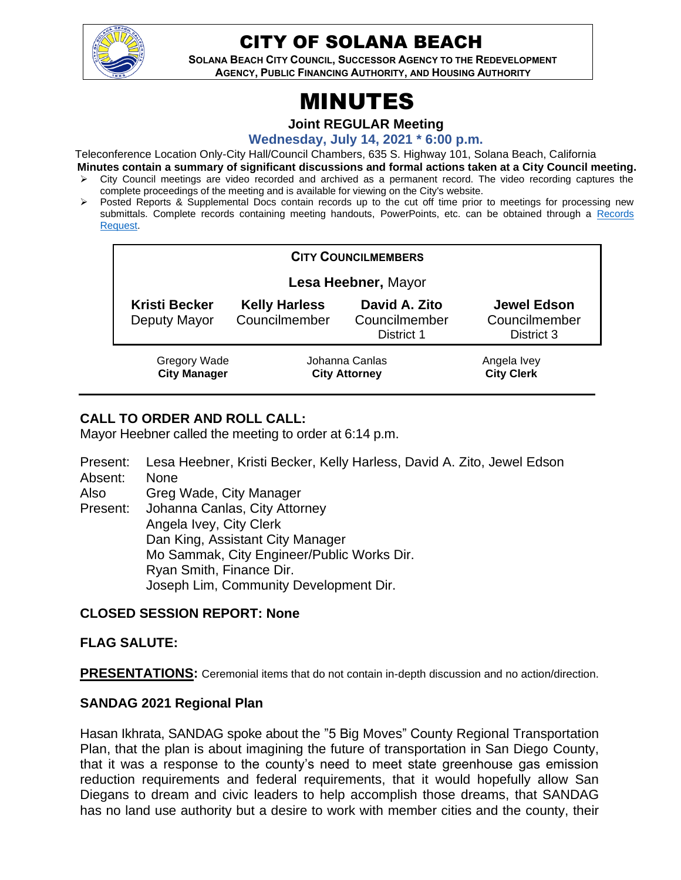

# CITY OF SOLANA BEACH

**SOLANA BEACH CITY COUNCIL, SUCCESSOR AGENCY TO THE REDEVELOPMENT AGENCY, PUBLIC FINANCING AUTHORITY, AND HOUSING AUTHORITY** 

# MINUTES

**Joint REGULAR Meeting**

**Wednesday, July 14, 2021 \* 6:00 p.m.**

Teleconference Location Only-City Hall/Council Chambers, 635 S. Highway 101, Solana Beach, California

- **Minutes contain a summary of significant discussions and formal actions taken at a City Council meeting.** ➢ City Council meetings are video recorded and archived as a permanent record. The video recording captures the complete proceedings of the meeting and is available for viewing on the City's website.
- ➢ Posted Reports & Supplemental Docs contain records up to the cut off time prior to meetings for processing new submittals. Complete records containing meeting handouts, PowerPoints, etc. can be obtained through a Records [Request.](http://www.ci.solana-beach.ca.us/index.asp?SEC=F5D45D10-70CE-4291-A27C-7BD633FC6742&Type=B_BASIC)

| <b>CITY COUNCILMEMBERS</b>                 |                                        |                                              |                                                   |
|--------------------------------------------|----------------------------------------|----------------------------------------------|---------------------------------------------------|
| Lesa Heebner, Mayor                        |                                        |                                              |                                                   |
| <b>Kristi Becker</b><br>Deputy Mayor       | <b>Kelly Harless</b><br>Councilmember  | David A. Zito<br>Councilmember<br>District 1 | <b>Jewel Edson</b><br>Councilmember<br>District 3 |
| <b>Gregory Wade</b><br><b>City Manager</b> | Johanna Canlas<br><b>City Attorney</b> |                                              | Angela Ivey<br><b>City Clerk</b>                  |

# **CALL TO ORDER AND ROLL CALL:**

Mayor Heebner called the meeting to order at 6:14 p.m.

Present: Lesa Heebner, Kristi Becker, Kelly Harless, David A. Zito, Jewel Edson Absent: None Also Present: Greg Wade, City Manager Johanna Canlas, City Attorney Angela Ivey, City Clerk Dan King, Assistant City Manager Mo Sammak, City Engineer/Public Works Dir. Ryan Smith, Finance Dir. Joseph Lim, Community Development Dir.

# **CLOSED SESSION REPORT: None**

# **FLAG SALUTE:**

**PRESENTATIONS:** Ceremonial items that do not contain in-depth discussion and no action/direction.

# **SANDAG 2021 Regional Plan**

Hasan Ikhrata, SANDAG spoke about the "5 Big Moves" County Regional Transportation Plan, that the plan is about imagining the future of transportation in San Diego County, that it was a response to the county's need to meet state greenhouse gas emission reduction requirements and federal requirements, that it would hopefully allow San Diegans to dream and civic leaders to help accomplish those dreams, that SANDAG has no land use authority but a desire to work with member cities and the county, their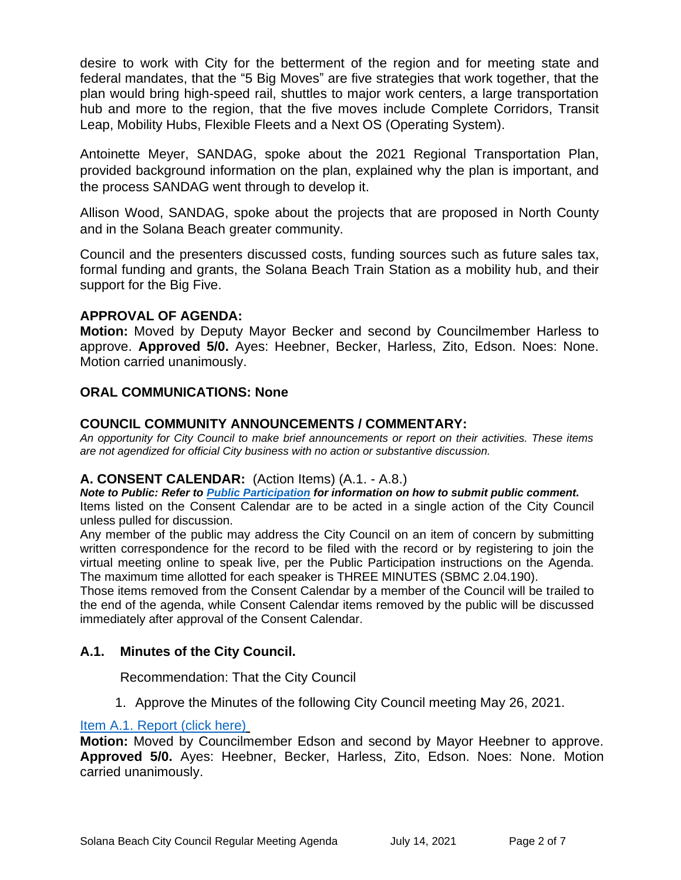desire to work with City for the betterment of the region and for meeting state and federal mandates, that the "5 Big Moves" are five strategies that work together, that the plan would bring high-speed rail, shuttles to major work centers, a large transportation hub and more to the region, that the five moves include Complete Corridors, Transit Leap, Mobility Hubs, Flexible Fleets and a Next OS (Operating System).

Antoinette Meyer, SANDAG, spoke about the 2021 Regional Transportation Plan, provided background information on the plan, explained why the plan is important, and the process SANDAG went through to develop it.

Allison Wood, SANDAG, spoke about the projects that are proposed in North County and in the Solana Beach greater community.

Council and the presenters discussed costs, funding sources such as future sales tax, formal funding and grants, the Solana Beach Train Station as a mobility hub, and their support for the Big Five.

# **APPROVAL OF AGENDA:**

**Motion:** Moved by Deputy Mayor Becker and second by Councilmember Harless to approve. **Approved 5/0.** Ayes: Heebner, Becker, Harless, Zito, Edson. Noes: None. Motion carried unanimously.

# **ORAL COMMUNICATIONS: None**

#### **COUNCIL COMMUNITY ANNOUNCEMENTS / COMMENTARY:**

*An opportunity for City Council to make brief announcements or report on their activities. These items are not agendized for official City business with no action or substantive discussion.* 

# **A. CONSENT CALENDAR:** (Action Items) (A.1. - A.8.)

*Note to Public: Refer to Public Participation for information on how to submit public comment.*  Items listed on the Consent Calendar are to be acted in a single action of the City Council unless pulled for discussion.

Any member of the public may address the City Council on an item of concern by submitting written correspondence for the record to be filed with the record or by registering to join the virtual meeting online to speak live, per the Public Participation instructions on the Agenda. The maximum time allotted for each speaker is THREE MINUTES (SBMC 2.04.190).

Those items removed from the Consent Calendar by a member of the Council will be trailed to the end of the agenda, while Consent Calendar items removed by the public will be discussed immediately after approval of the Consent Calendar.

# **A.1. Minutes of the City Council.**

Recommendation: That the City Council

1. Approve the Minutes of the following City Council meeting May 26, 2021.

#### [Item A.1. Report \(click here\)](https://solanabeach.govoffice3.com/vertical/Sites/%7B840804C2-F869-4904-9AE3-720581350CE7%7D/uploads/Item_A.1._Document_(click_here)_07-14-21_O.pdf)

**Motion:** Moved by Councilmember Edson and second by Mayor Heebner to approve. **Approved 5/0.** Ayes: Heebner, Becker, Harless, Zito, Edson. Noes: None. Motion carried unanimously.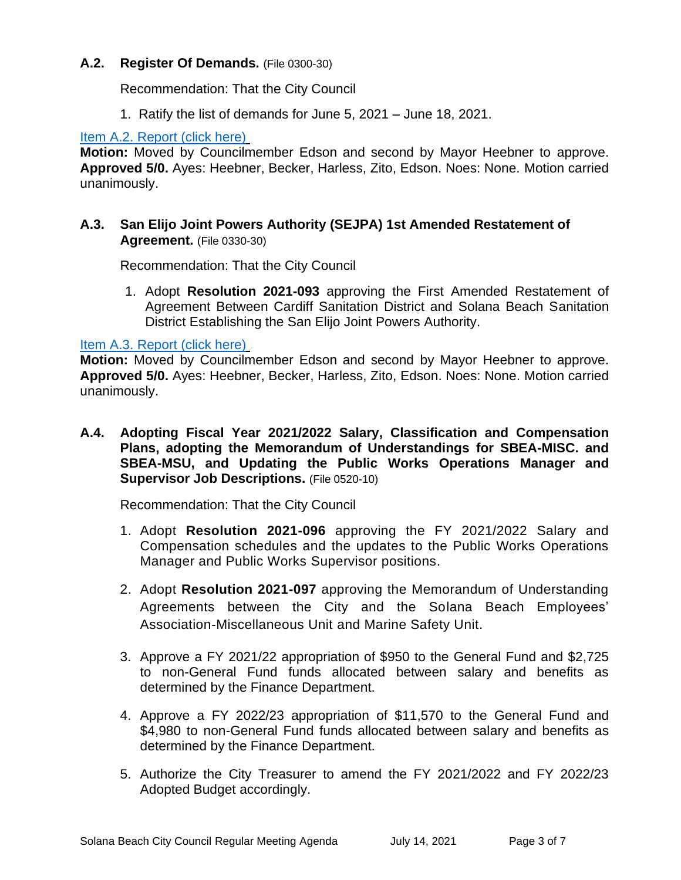#### **A.2. Register Of Demands.** (File 0300-30)

Recommendation: That the City Council

1. Ratify the list of demands for June 5, 2021 – June 18, 2021.

#### [Item A.2. Report \(click here\)](https://solanabeach.govoffice3.com/vertical/Sites/%7B840804C2-F869-4904-9AE3-720581350CE7%7D/uploads/Item_A.2._Report_(click_here)_-_7-14-21_O.pdf)

**Motion:** Moved by Councilmember Edson and second by Mayor Heebner to approve. **Approved 5/0.** Ayes: Heebner, Becker, Harless, Zito, Edson. Noes: None. Motion carried unanimously.

# **A.3. San Elijo Joint Powers Authority (SEJPA) 1st Amended Restatement of Agreement.** (File 0330-30)

Recommendation: That the City Council

1. Adopt **Resolution 2021-093** approving the First Amended Restatement of Agreement Between Cardiff Sanitation District and Solana Beach Sanitation District Establishing the San Elijo Joint Powers Authority.

#### [Item A.3. Report \(click here\)](https://solanabeach.govoffice3.com/vertical/Sites/%7B840804C2-F869-4904-9AE3-720581350CE7%7D/uploads/Item_A.3._Report_(click_here)_-_7-14-21_O.pdf)

**Motion:** Moved by Councilmember Edson and second by Mayor Heebner to approve. **Approved 5/0.** Ayes: Heebner, Becker, Harless, Zito, Edson. Noes: None. Motion carried unanimously.

**A.4. Adopting Fiscal Year 2021/2022 Salary, Classification and Compensation Plans, adopting the Memorandum of Understandings for SBEA-MISC. and SBEA-MSU, and Updating the Public Works Operations Manager and Supervisor Job Descriptions.** (File 0520-10)

Recommendation: That the City Council

- 1. Adopt **Resolution 2021-096** approving the FY 2021/2022 Salary and Compensation schedules and the updates to the Public Works Operations Manager and Public Works Supervisor positions.
- 2. Adopt **Resolution 2021-097** approving the Memorandum of Understanding Agreements between the City and the Solana Beach Employees' Association-Miscellaneous Unit and Marine Safety Unit.
- 3. Approve a FY 2021/22 appropriation of \$950 to the General Fund and \$2,725 to non-General Fund funds allocated between salary and benefits as determined by the Finance Department.
- 4. Approve a FY 2022/23 appropriation of \$11,570 to the General Fund and \$4,980 to non-General Fund funds allocated between salary and benefits as determined by the Finance Department.
- 5. Authorize the City Treasurer to amend the FY 2021/2022 and FY 2022/23 Adopted Budget accordingly.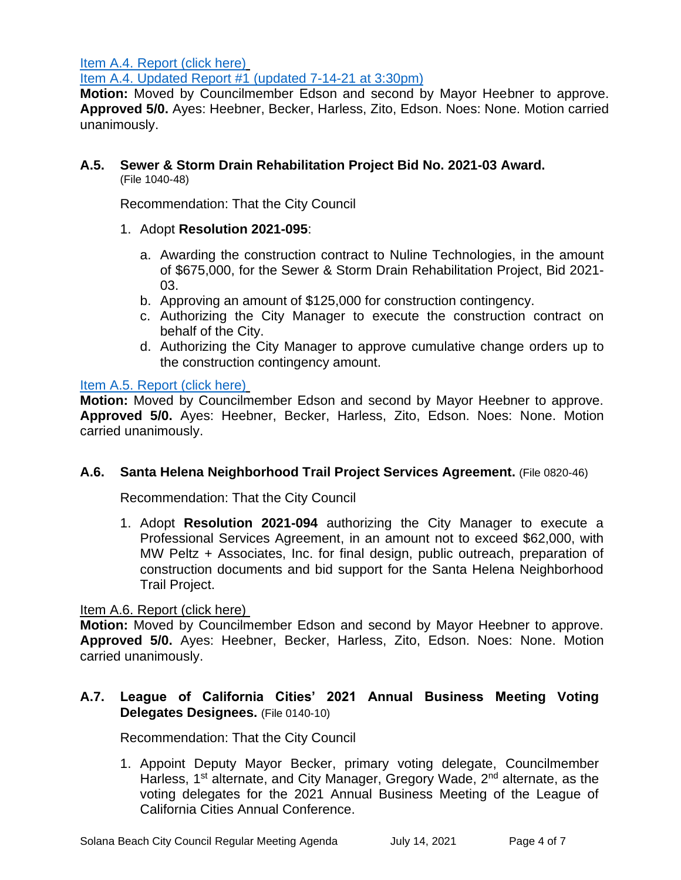[Item A.4. Report \(click here\)](https://solanabeach.govoffice3.com/vertical/Sites/%7B840804C2-F869-4904-9AE3-720581350CE7%7D/uploads/Item_A.4._Report_(click_here)_07-14-21_O.pdf)

[Item A.4. Updated Report #1 \(updated 7-14-21 at 3:30pm\)](https://solanabeach.govoffice3.com/vertical/Sites/%7B840804C2-F869-4904-9AE3-720581350CE7%7D/uploads/Item_A.4._Updated_Report_1_(upd._7-14_at_318pm)_-_O.pdf)

**Motion:** Moved by Councilmember Edson and second by Mayor Heebner to approve. **Approved 5/0.** Ayes: Heebner, Becker, Harless, Zito, Edson. Noes: None. Motion carried unanimously.

#### **A.5. Sewer & Storm Drain Rehabilitation Project Bid No. 2021-03 Award.** (File 1040-48)

Recommendation: That the City Council

- 1. Adopt **Resolution 2021-095**:
	- a. Awarding the construction contract to Nuline Technologies, in the amount of \$675,000, for the Sewer & Storm Drain Rehabilitation Project, Bid 2021- 03.
	- b. Approving an amount of \$125,000 for construction contingency.
	- c. Authorizing the City Manager to execute the construction contract on behalf of the City.
	- d. Authorizing the City Manager to approve cumulative change orders up to the construction contingency amount.

# [Item A.5. Report \(click here\)](https://solanabeach.govoffice3.com/vertical/Sites/%7B840804C2-F869-4904-9AE3-720581350CE7%7D/uploads/Item_A.5._Report_(click_here)_-_7-14-21_O.pdf)

**Motion:** Moved by Councilmember Edson and second by Mayor Heebner to approve. **Approved 5/0.** Ayes: Heebner, Becker, Harless, Zito, Edson. Noes: None. Motion carried unanimously.

# **A.6. Santa Helena Neighborhood Trail Project Services Agreement.** (File 0820-46)

Recommendation: That the City Council

1. Adopt **Resolution 2021-094** authorizing the City Manager to execute a Professional Services Agreement, in an amount not to exceed \$62,000, with MW Peltz + Associates, Inc. for final design, public outreach, preparation of construction documents and bid support for the Santa Helena Neighborhood Trail Project.

#### [Item A.6. Report \(click here\)](https://solanabeach.govoffice3.com/vertical/Sites/%7B840804C2-F869-4904-9AE3-720581350CE7%7D/uploads/Item_A.6._Report_(click_here)_-_7-14-21_O.pdf)

**Motion:** Moved by Councilmember Edson and second by Mayor Heebner to approve. **Approved 5/0.** Ayes: Heebner, Becker, Harless, Zito, Edson. Noes: None. Motion carried unanimously.

# **A.7. League of California Cities' 2021 Annual Business Meeting Voting Delegates Designees.** (File 0140-10)

Recommendation: That the City Council

1. Appoint Deputy Mayor Becker, primary voting delegate, Councilmember Harless, 1<sup>st</sup> alternate, and City Manager, Gregory Wade, 2<sup>nd</sup> alternate, as the voting delegates for the 2021 Annual Business Meeting of the League of California Cities Annual Conference.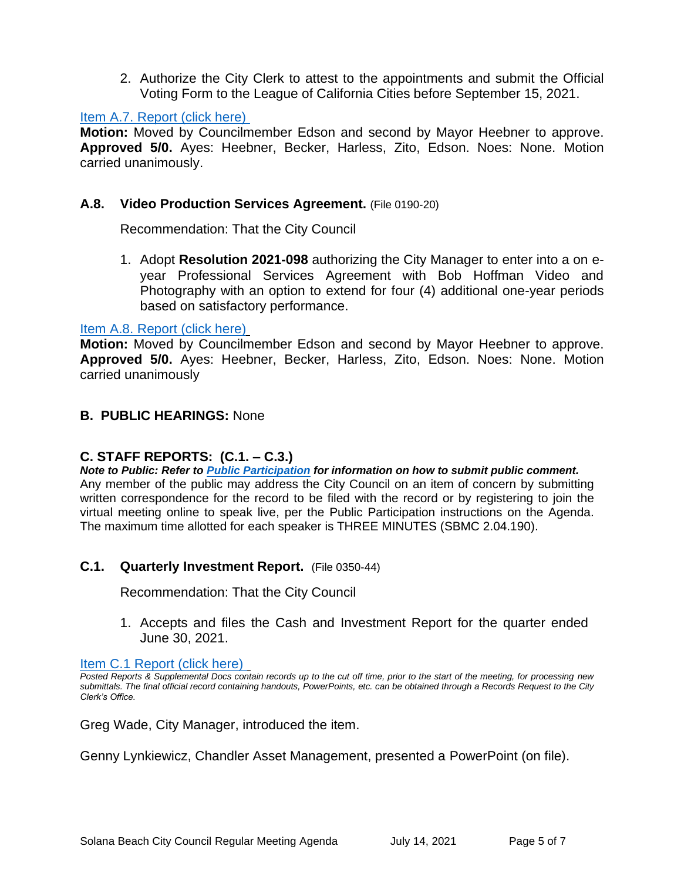2. Authorize the City Clerk to attest to the appointments and submit the Official Voting Form to the League of California Cities before September 15, 2021.

#### Item A.7. Report (click here)

**Motion:** Moved by Councilmember Edson and second by Mayor Heebner to approve. **Approved 5/0.** Ayes: Heebner, Becker, Harless, Zito, Edson. Noes: None. Motion carried unanimously.

#### **A.8. Video Production Services Agreement.** (File 0190-20)

Recommendation: That the City Council

1. Adopt **Resolution 2021-098** authorizing the City Manager to enter into a on eyear Professional Services Agreement with Bob Hoffman Video and Photography with an option to extend for four (4) additional one-year periods based on satisfactory performance.

#### Item A.8. Report (click here)

**Motion:** Moved by Councilmember Edson and second by Mayor Heebner to approve. **Approved 5/0.** Ayes: Heebner, Becker, Harless, Zito, Edson. Noes: None. Motion carried unanimously

#### **B. PUBLIC HEARINGS:** None

# **C. STAFF REPORTS: (C.1. – C.3.)**

*Note to Public: Refer to Public Participation for information on how to submit public comment.*  Any member of the public may address the City Council on an item of concern by submitting written correspondence for the record to be filed with the record or by registering to join the virtual meeting online to speak live, per the Public Participation instructions on the Agenda. The maximum time allotted for each speaker is THREE MINUTES (SBMC 2.04.190).

#### **C.1. Quarterly Investment Report.** (File 0350-44)

Recommendation: That the City Council

1. Accepts and files the Cash and Investment Report for the quarter ended June 30, 2021.

Item C.1 Report (click here)

Greg Wade, City Manager, introduced the item.

Genny Lynkiewicz, Chandler Asset Management, presented a PowerPoint (on file).

*Posted Reports & Supplemental Docs contain records up to the cut off time, prior to the start of the meeting, for processing new submittals. The final official record containing handouts, PowerPoints, etc. can be obtained through a Records Request to the City Clerk's Office.*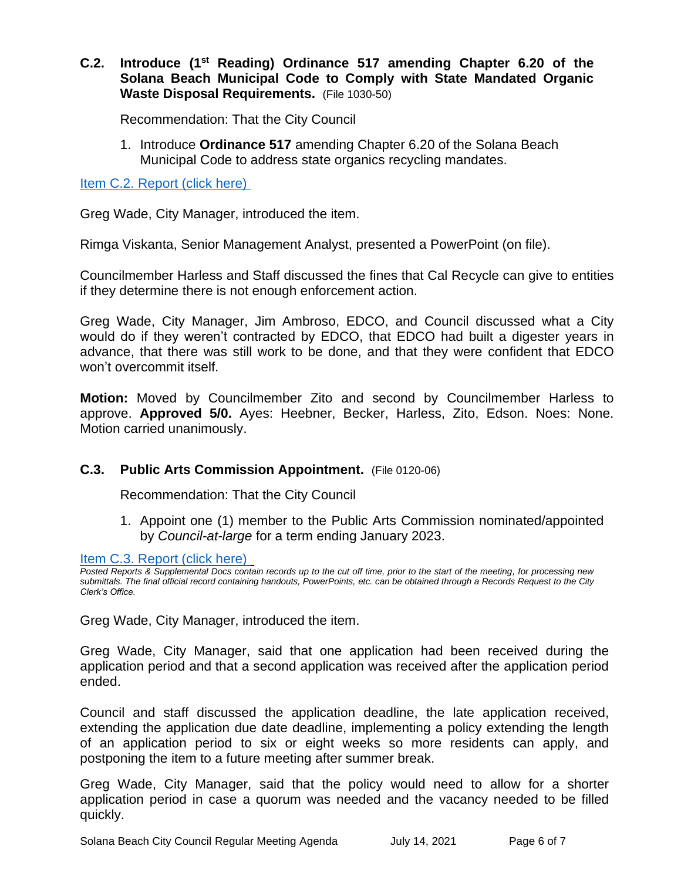# **C.2. Introduce (1st Reading) Ordinance 517 amending Chapter 6.20 of the Solana Beach Municipal Code to Comply with State Mandated Organic Waste Disposal Requirements.** (File 1030-50)

Recommendation: That the City Council

1. Introduce **Ordinance 517** amending Chapter 6.20 of the Solana Beach Municipal Code to address state organics recycling mandates.

Item C.2. Report (click here)

Greg Wade, City Manager, introduced the item.

Rimga Viskanta, Senior Management Analyst, presented a PowerPoint (on file).

Councilmember Harless and Staff discussed the fines that Cal Recycle can give to entities if they determine there is not enough enforcement action.

Greg Wade, City Manager, Jim Ambroso, EDCO, and Council discussed what a City would do if they weren't contracted by EDCO, that EDCO had built a digester years in advance, that there was still work to be done, and that they were confident that EDCO won't overcommit itself.

**Motion:** Moved by Councilmember Zito and second by Councilmember Harless to approve. **Approved 5/0.** Ayes: Heebner, Becker, Harless, Zito, Edson. Noes: None. Motion carried unanimously.

# **C.3. Public Arts Commission Appointment.** (File 0120-06)

Recommendation: That the City Council

1. Appoint one (1) member to the Public Arts Commission nominated/appointed by *Council-at-large* for a term ending January 2023.

Item C.3. Report (click here)

*Posted Reports & Supplemental Docs contain records up to the cut off time, prior to the start of the meeting, for processing new submittals. The final official record containing handouts, PowerPoints, etc. can be obtained through a Records Request to the City Clerk's Office.*

Greg Wade, City Manager, introduced the item.

Greg Wade, City Manager, said that one application had been received during the application period and that a second application was received after the application period ended.

Council and staff discussed the application deadline, the late application received, extending the application due date deadline, implementing a policy extending the length of an application period to six or eight weeks so more residents can apply, and postponing the item to a future meeting after summer break.

Greg Wade, City Manager, said that the policy would need to allow for a shorter application period in case a quorum was needed and the vacancy needed to be filled quickly.